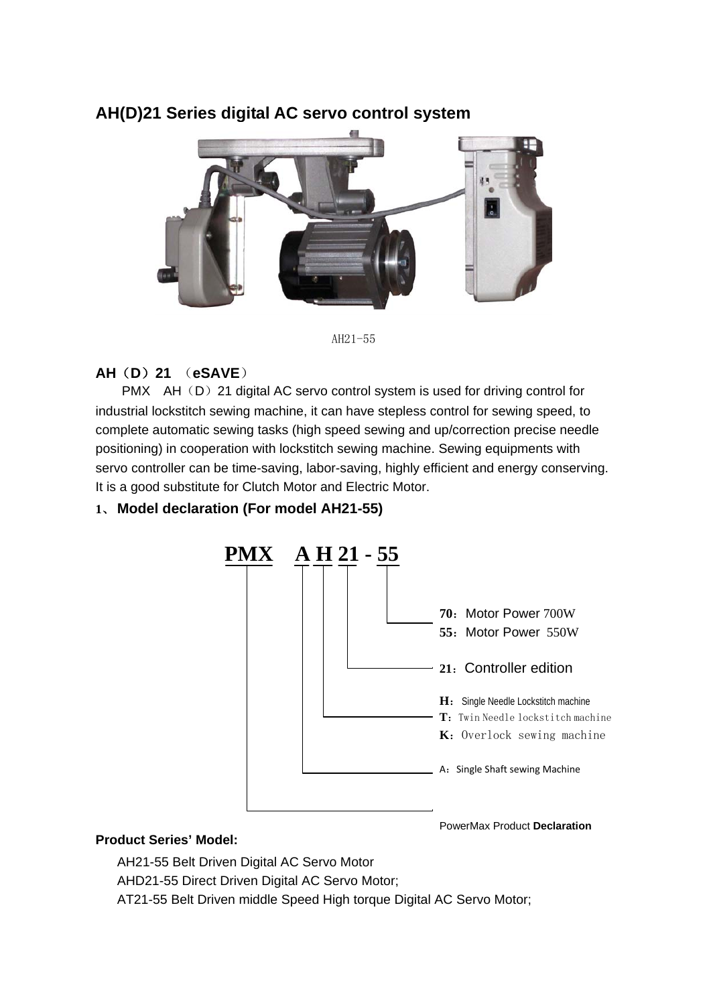# **AH(D)21 Series digital AC servo control system**



AH21-55

## **AH**(**D**)**21** (**eSAVE**)

PMX AH(D) 21 digital AC servo control system is used for driving control for industrial lockstitch sewing machine, it can have stepless control for sewing speed, to complete automatic sewing tasks (high speed sewing and up/correction precise needle positioning) in cooperation with lockstitch sewing machine. Sewing equipments with servo controller can be time-saving, labor-saving, highly efficient and energy conserving. It is a good substitute for Clutch Motor and Electric Motor.

#### **1**、 **Model declaration (For model AH21-55)**



#### **Product Series' Model:**

AH21-55 Belt Driven Digital AC Servo Motor

AHD21-55 Direct Driven Digital AC Servo Motor;

AT21-55 Belt Driven middle Speed High torque Digital AC Servo Motor;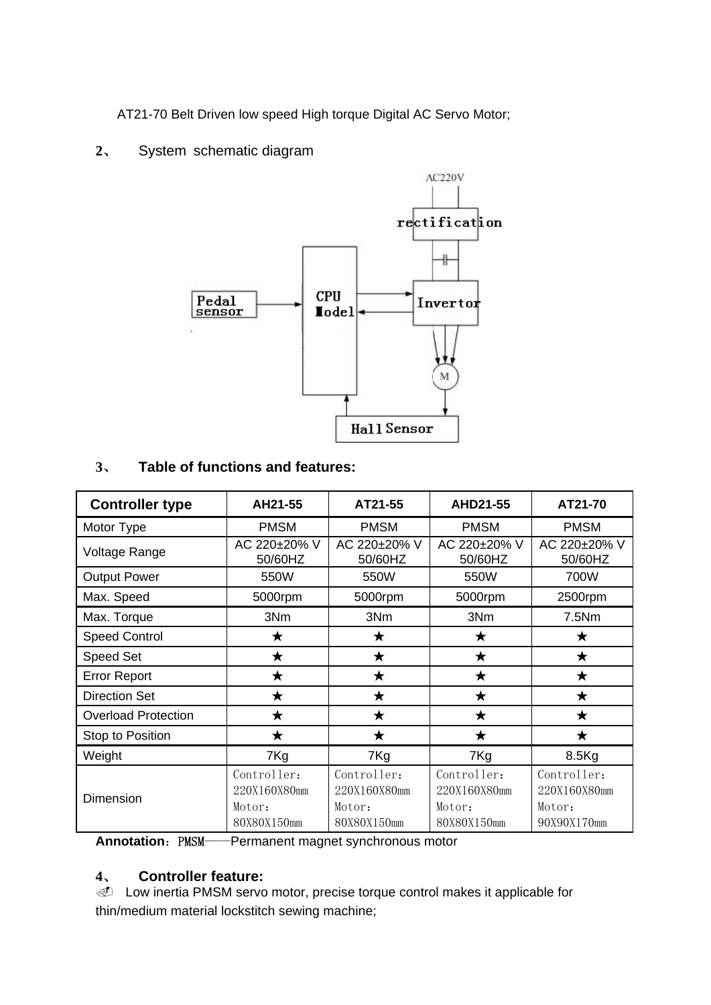AT21-70 Belt Driven low speed High torque Digital AC Servo Motor;

**2**、 System schematic diagram



## **3**、 **Table of functions and features:**

| <b>Controller type</b>     | AH21-55                                              | AT21-55                                              | AHD21-55                                             | AT21-70                                              |  |
|----------------------------|------------------------------------------------------|------------------------------------------------------|------------------------------------------------------|------------------------------------------------------|--|
| Motor Type                 | <b>PMSM</b>                                          | <b>PMSM</b>                                          | <b>PMSM</b>                                          | <b>PMSM</b>                                          |  |
| Voltage Range              | AC 220±20% V<br>50/60HZ                              | AC 220±20% V<br>50/60HZ                              | AC 220±20% V<br>50/60HZ                              | AC 220±20% V<br>50/60HZ                              |  |
| <b>Output Power</b>        | 550W                                                 | 550W                                                 | 550W                                                 | 700W                                                 |  |
| Max. Speed                 | 5000rpm                                              | 5000rpm                                              | 5000rpm                                              | 2500rpm                                              |  |
| Max. Torque                | 3Nm                                                  | 3Nm                                                  | 3Nm                                                  | 7.5Nm                                                |  |
| <b>Speed Control</b>       | $\star$                                              | $\star$                                              | $\bigstar$                                           | ★                                                    |  |
| <b>Speed Set</b>           | $\bigstar$                                           | $\bigstar$                                           | $\bigstar$                                           | $\bigstar$                                           |  |
| <b>Error Report</b>        | ★                                                    | ★                                                    | ★                                                    | ★                                                    |  |
| <b>Direction Set</b>       | ★                                                    | ★                                                    | $\bigstar$                                           | ★                                                    |  |
| <b>Overload Protection</b> | $\bigstar$                                           | $\bigstar$                                           | $\bigstar$                                           | $\bigstar$                                           |  |
| Stop to Position           | $\bigstar$                                           | $\bigstar$                                           | $\bigstar$                                           | $\bigstar$                                           |  |
| Weight                     | 7Kg                                                  | 7Kg                                                  | 7Kg                                                  | 8.5Kg                                                |  |
| Dimension                  | Controller:<br>220X160X80mm<br>Motor:<br>80X80X150mm | Controller:<br>220X160X80mm<br>Motor:<br>80X80X150mm | Controller:<br>220X160X80mm<br>Motor:<br>80X80X150mm | Controller:<br>220X160X80mm<br>Motor:<br>90X90X170mm |  |

**Annotation: PMSM——Permanent magnet synchronous motor** 

#### **4**、 **Controller feature:**

**I Low inertia PMSM servo motor, precise torque control makes it applicable for** thin/medium material lockstitch sewing machine;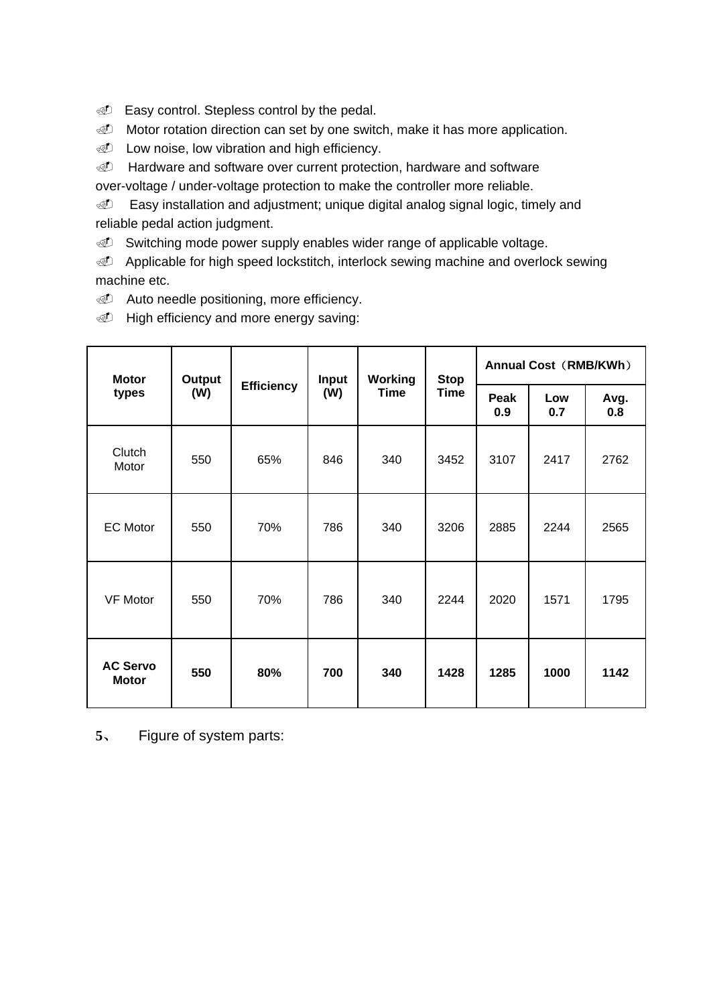- *I* Easy control. Stepless control by the pedal.
- **I** Motor rotation direction can set by one switch, make it has more application.
- *I* Low noise, low vibration and high efficiency.
- d Hardware and software over current protection, hardware and software
- over-voltage / under-voltage protection to make the controller more reliable.

**Easy installation and adjustment; unique digital analog signal logic, timely and** reliable pedal action judgment.

Switching mode power supply enables wider range of applicable voltage.

Applicable for high speed lockstitch, interlock sewing machine and overlock sewing machine etc.

*<u>D</u>* Auto needle positioning, more efficiency.

*I* High efficiency and more energy saving:

| <b>Motor</b><br>types           | Output<br>(W) | <b>Efficiency</b> | Input<br>(W) | Working<br><b>Time</b> | <b>Stop</b><br>Time | Annual Cost (RMB/KWh) |            |             |
|---------------------------------|---------------|-------------------|--------------|------------------------|---------------------|-----------------------|------------|-------------|
|                                 |               |                   |              |                        |                     | Peak<br>0.9           | Low<br>0.7 | Avg.<br>0.8 |
| Clutch<br>Motor                 | 550           | 65%               | 846          | 340                    | 3452                | 3107                  | 2417       | 2762        |
| <b>EC Motor</b>                 | 550           | 70%               | 786          | 340                    | 3206                | 2885                  | 2244       | 2565        |
| <b>VF Motor</b>                 | 550           | 70%               | 786          | 340                    | 2244                | 2020                  | 1571       | 1795        |
| <b>AC Servo</b><br><b>Motor</b> | 550           | 80%               | 700          | 340                    | 1428                | 1285                  | 1000       | 1142        |

**5**、 Figure of system parts: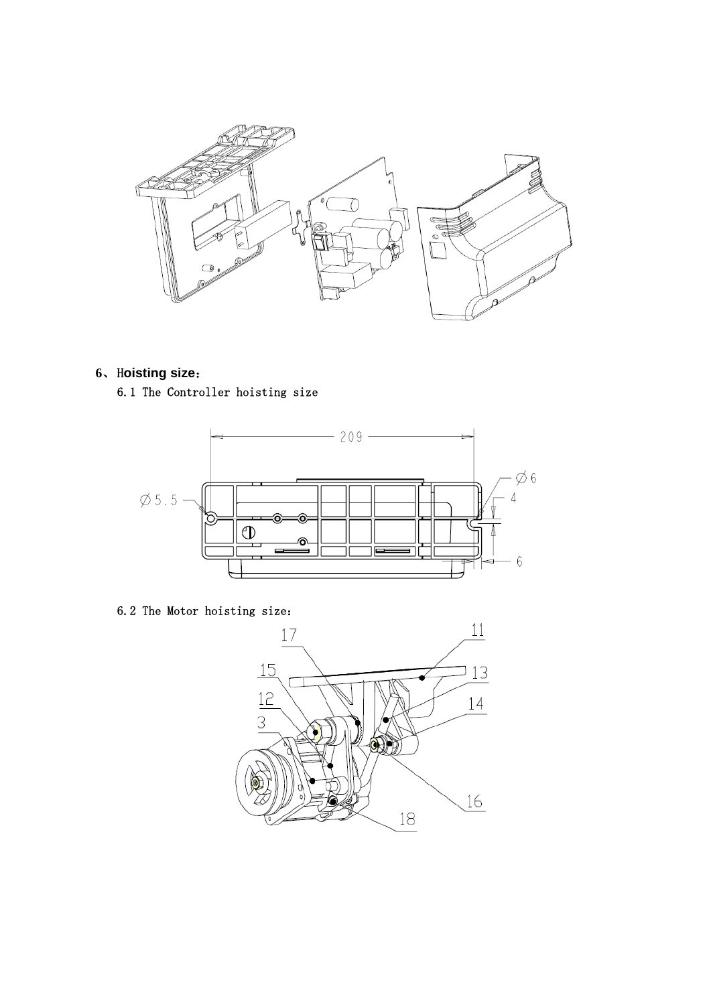

**6**、H**oisting size**: 6.1 The Controller hoisting size



6.2 The Motor hoisting size:

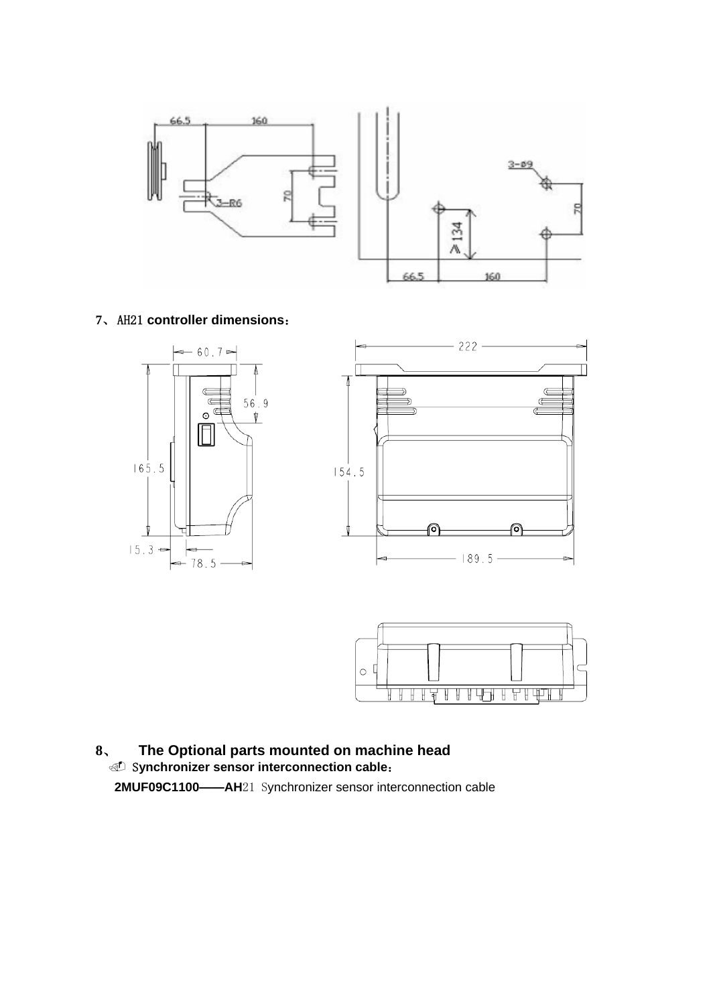

#### **7**、AH21 **controller dimensions**:





## **8**、 **The Optional parts mounted on machine head Synchronizer sensor interconnection cable: 2MUF09C1100——AH**21 Synchronizer sensor interconnection cable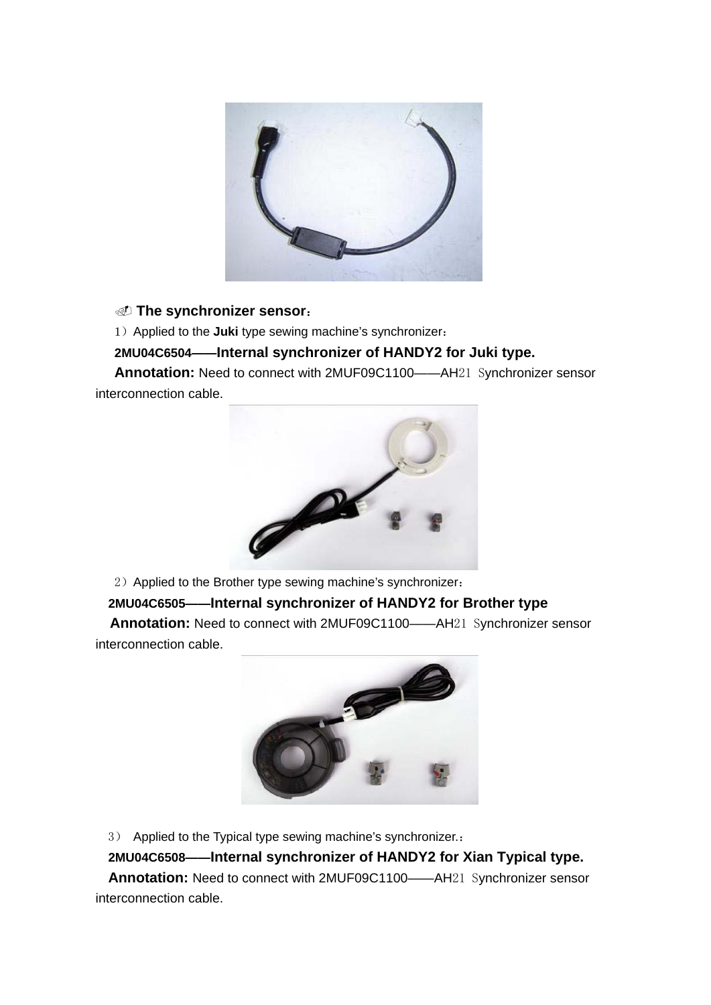

**The synchronizer sensor**:

1)Applied to the **Juki** type sewing machine's synchronizer:

 **2MU04C6504——Internal synchronizer of HANDY2 for Juki type.**

 **Annotation:** Need to connect with 2MUF09C1100——AH21 Synchronizer sensor interconnection cable.



2) Applied to the Brother type sewing machine's synchronizer:

 **2MU04C6505——Internal synchronizer of HANDY2 for Brother type** 

**Annotation:** Need to connect with 2MUF09C1100——AH21 Synchronizer sensor interconnection cable.



3) Applied to the Typical type sewing machine's synchronizer.:

 **2MU04C6508——Internal synchronizer of HANDY2 for Xian Typical type.**

 **Annotation:** Need to connect with 2MUF09C1100——AH21 Synchronizer sensor interconnection cable.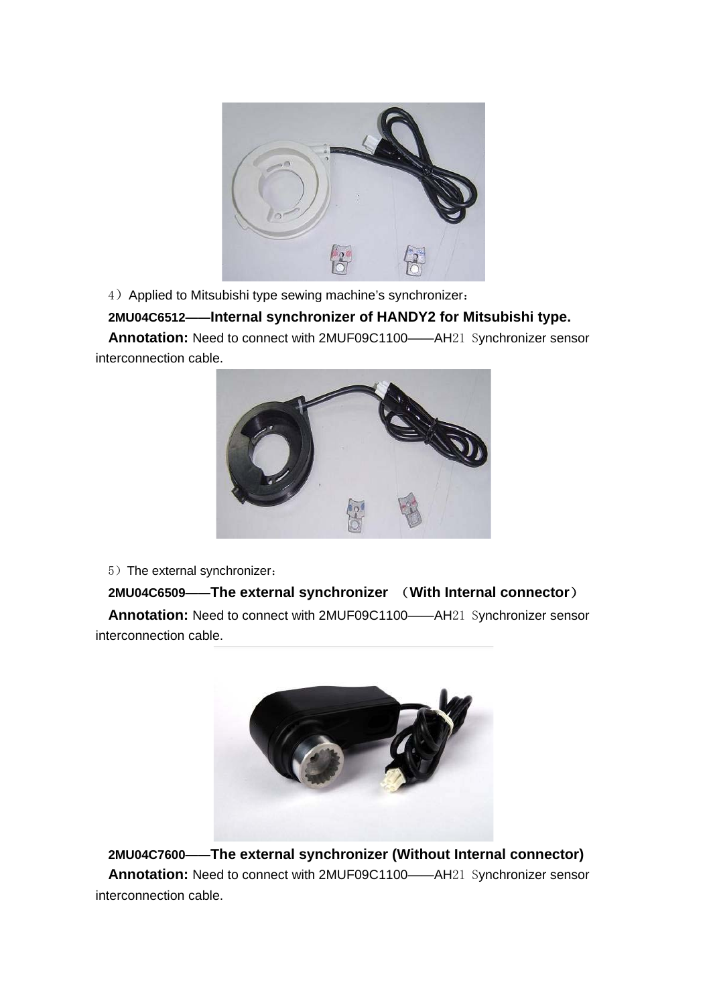

4) Applied to Mitsubishi type sewing machine's synchronizer:

#### **2MU04C6512——Internal synchronizer of HANDY2 for Mitsubishi type.**

 **Annotation:** Need to connect with 2MUF09C1100——AH21 Synchronizer sensor interconnection cable.



5) The external synchronizer:

#### **2MU04C6509——The external synchronizer** (**With Internal connector**)

 **Annotation:** Need to connect with 2MUF09C1100——AH21 Synchronizer sensor interconnection cable.



 **2MU04C7600——The external synchronizer (Without Internal connector) Annotation:** Need to connect with 2MUF09C1100——AH21 Synchronizer sensor interconnection cable.